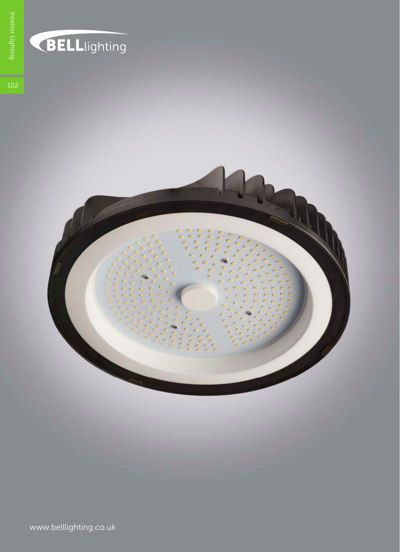

### BELLlighting

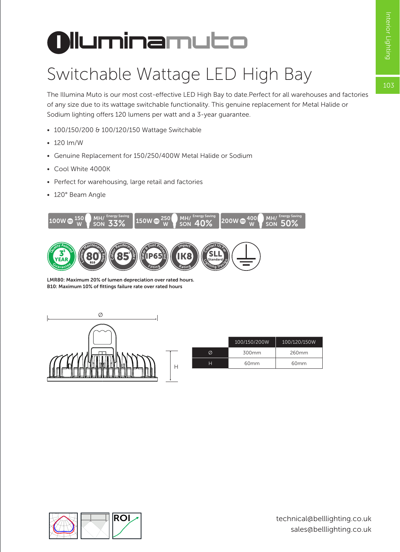# **I lluminamuto**

### Switchable Wattage LED High Bay

The Illumina Muto is our most cost-effective LED High Bay to date.Perfect for all warehouses and factories of any size due to its wattage switchable functionality. This genuine replacement for Metal Halide or Sodium lighting offers 120 lumens per watt and a 3-year guarantee.

- 100/150/200 & 100/120/150 Wattage Switchable
- 120 lm/W
- Genuine Replacement for 150/250/400W Metal Halide or Sodium
- Cool White 4000K
- Perfect for warehousing, large retail and factories
- 120° Beam Angle



LMR80: Maximum 20% of lumen depreciation over rated hours. B10: Maximum 10% of fittings failure rate over rated hours



| 100/150/200W | 100/120/150W     |  |
|--------------|------------------|--|
| 300mm        | 260mm            |  |
| 60mm         | 60 <sub>mm</sub> |  |

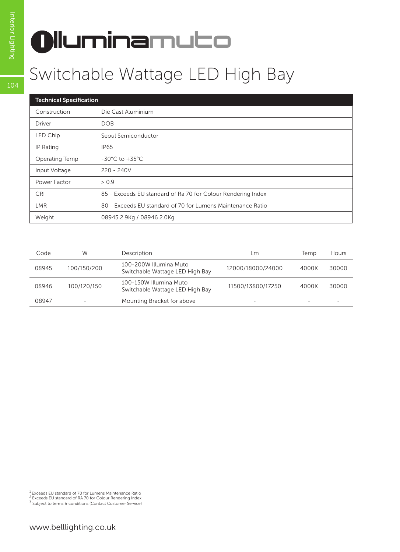# **I lluminamuto**

#### Switchable Wattage LED High Bay

| <b>Technical Specification</b> |                                                              |  |  |  |
|--------------------------------|--------------------------------------------------------------|--|--|--|
| Construction                   | Die Cast Aluminium                                           |  |  |  |
| Driver                         | <b>DOB</b>                                                   |  |  |  |
| LED Chip                       | Seoul Semiconductor                                          |  |  |  |
| IP Rating                      | IP <sub>65</sub>                                             |  |  |  |
| Operating Temp                 | $-30^{\circ}$ C to $+35^{\circ}$ C                           |  |  |  |
| Input Voltage                  | $220 - 240V$                                                 |  |  |  |
| Power Factor                   | > 0.9                                                        |  |  |  |
| CRI                            | 85 - Exceeds EU standard of Ra 70 for Colour Rendering Index |  |  |  |
| LMR.                           | 80 - Exceeds EU standard of 70 for Lumens Maintenance Ratio  |  |  |  |
| Weight                         | 08945 2.9Kg / 08946 2.0Kg                                    |  |  |  |

| Code  | W           | Description                                               | LM.               | Temp                     | Hours |
|-------|-------------|-----------------------------------------------------------|-------------------|--------------------------|-------|
| 08945 | 100/150/200 | 100-200W Illumina Muto<br>Switchable Wattage LED High Bay | 12000/18000/24000 | 4000K                    | 30000 |
| 08946 | 100/120/150 | 100-150W Illumina Muto<br>Switchable Wattage LED High Bay | 11500/13800/17250 | 4000K                    | 30000 |
| 08947 | ۰           | Mounting Bracket for above                                | ۰                 | $\overline{\phantom{a}}$ |       |

<sup>1</sup> Exceeds EU standard of 70 for Lumens Maintenance Ratio<br><sup>2</sup> Exceeds EU standard of RA 70 for Colour Rendering Index

<sup>3</sup> Subject to terms & conditions (Contact Customer Service)

104